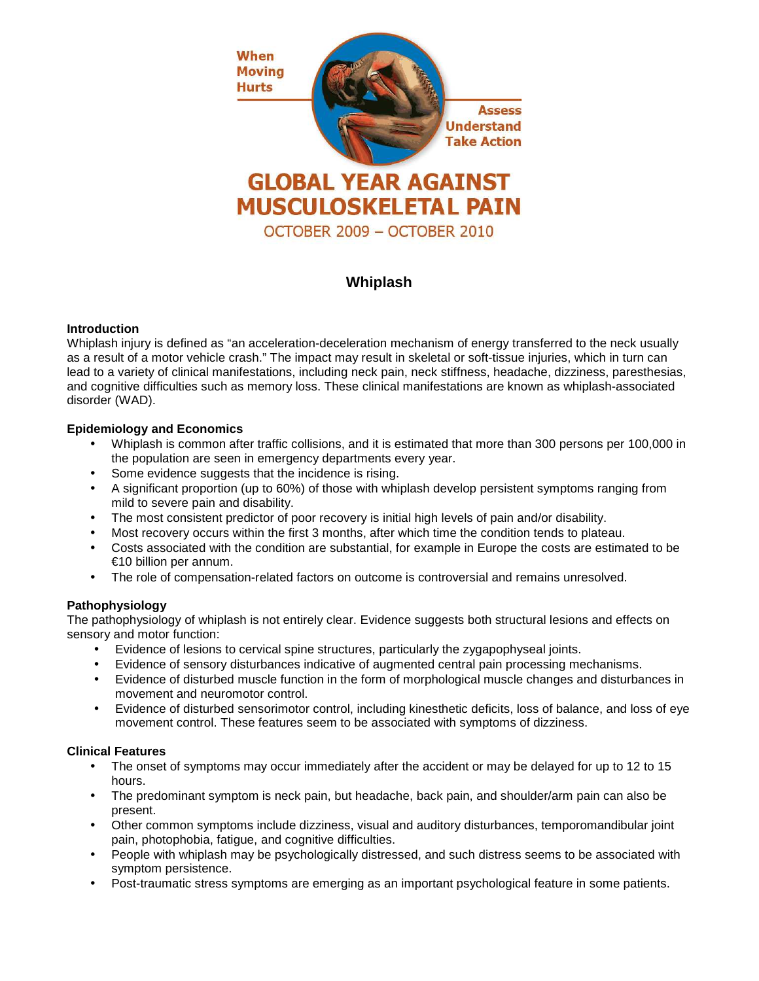

# **Whiplash**

# **Introduction**

Whiplash injury is defined as "an acceleration-deceleration mechanism of energy transferred to the neck usually as a result of a motor vehicle crash." The impact may result in skeletal or soft-tissue injuries, which in turn can lead to a variety of clinical manifestations, including neck pain, neck stiffness, headache, dizziness, paresthesias, and cognitive difficulties such as memory loss. These clinical manifestations are known as whiplash-associated disorder (WAD).

## **Epidemiology and Economics**

- Whiplash is common after traffic collisions, and it is estimated that more than 300 persons per 100,000 in the population are seen in emergency departments every year.
- Some evidence suggests that the incidence is rising.
- A significant proportion (up to 60%) of those with whiplash develop persistent symptoms ranging from mild to severe pain and disability.
- The most consistent predictor of poor recovery is initial high levels of pain and/or disability.
- Most recovery occurs within the first 3 months, after which time the condition tends to plateau.
- Costs associated with the condition are substantial, for example in Europe the costs are estimated to be €10 billion per annum.
- The role of compensation-related factors on outcome is controversial and remains unresolved.

# **Pathophysiology**

The pathophysiology of whiplash is not entirely clear. Evidence suggests both structural lesions and effects on sensory and motor function:

- Evidence of lesions to cervical spine structures, particularly the zygapophyseal joints.
- Evidence of sensory disturbances indicative of augmented central pain processing mechanisms.
- Evidence of disturbed muscle function in the form of morphological muscle changes and disturbances in movement and neuromotor control.
- Evidence of disturbed sensorimotor control, including kinesthetic deficits, loss of balance, and loss of eye movement control. These features seem to be associated with symptoms of dizziness.

#### **Clinical Features**

- The onset of symptoms may occur immediately after the accident or may be delayed for up to 12 to 15 hours.
- The predominant symptom is neck pain, but headache, back pain, and shoulder/arm pain can also be present.
- Other common symptoms include dizziness, visual and auditory disturbances, temporomandibular joint pain, photophobia, fatigue, and cognitive difficulties.
- People with whiplash may be psychologically distressed, and such distress seems to be associated with symptom persistence.
- Post-traumatic stress symptoms are emerging as an important psychological feature in some patients.